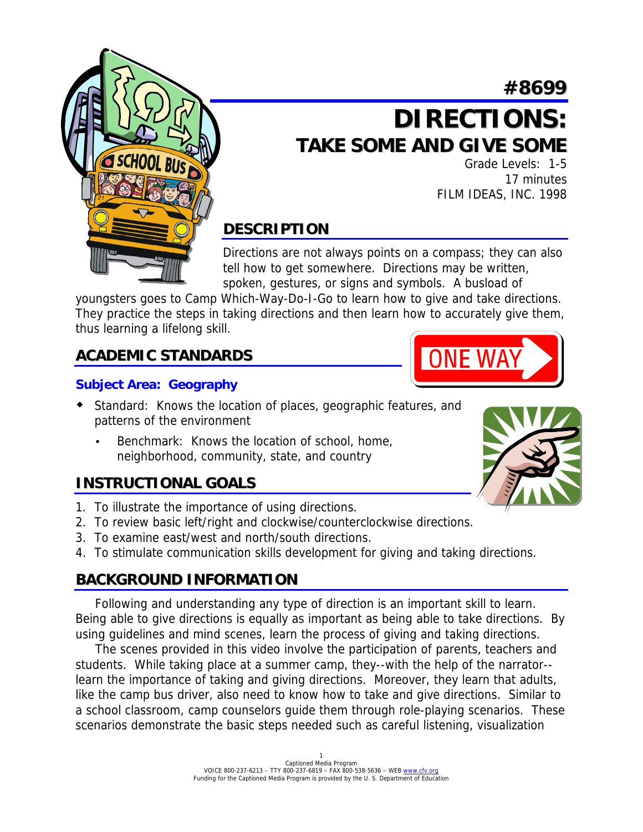# **#8699**



Grade Levels: 1-5 17 minutes FILM IDEAS, INC. 1998

**ONE WA** 

# **DESCRIPTION**

Directions are not always points on a compass; they can also tell how to get somewhere. Directions may be written, spoken, gestures, or signs and symbols. A busload of

youngsters goes to Camp Which-Way-Do-I-Go to learn how to give and take directions. They practice the steps in taking directions and then learn how to accurately give them, thus learning a lifelong skill.

## **ACADEMIC STANDARDS**

### **Subject Area: Geography**

- ! Standard: Knows the location of places, geographic features, and patterns of the environment
	- Benchmark: Knows the location of school, home, neighborhood, community, state, and country

### **INSTRUCTIONAL GOALS**

- 1. To illustrate the importance of using directions.
- 2. To review basic left/right and clockwise/counterclockwise directions.
- 3. To examine east/west and north/south directions.
- 4. To stimulate communication skills development for giving and taking directions.

## **BACKGROUND INFORMATION**

 Following and understanding any type of direction is an important skill to learn. Being able to give directions is equally as important as being able to take directions. By using guidelines and mind scenes, learn the process of giving and taking directions.

 The scenes provided in this video involve the participation of parents, teachers and students. While taking place at a summer camp, they--with the help of the narrator- learn the importance of taking and giving directions. Moreover, they learn that adults, like the camp bus driver, also need to know how to take and give directions. Similar to a school classroom, camp counselors guide them through role-playing scenarios. These scenarios demonstrate the basic steps needed such as careful listening, visualization